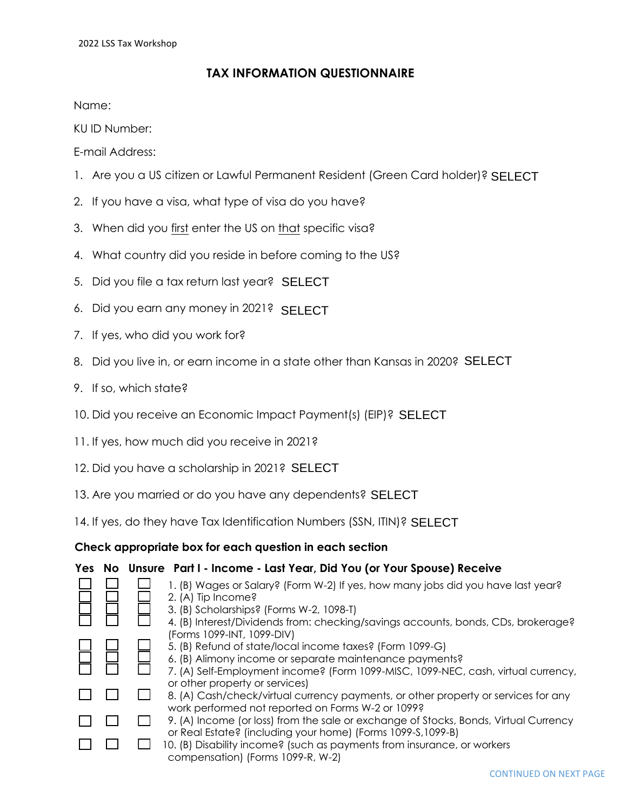## **TAX INFORMATION QUESTIONNAIRE**

Name:

KU ID Number:

E-mail Address:

- 1. Are you a US citizen or Lawful Permanent Resident (Green Card holder)? SELECT
- 2. If you have a visa, what type of visa do you have?
- 3. When did you first enter the US on that specific visa?
- 4. What country did you reside in before coming to the US?
- 5. Did you file a tax return last year? SELECT
- 6. Did you earn any money in 2021? SELECT
- 7. If yes, who did you work for?
- 8. Did you live in, or earn income in a state other than Kansas in 2020? SELECT<br>9. If so, which state?<br>10. Did you receive an Economic Impact Payment(s) (EIP)? SELECT
- 9. If so, which state?
- 10. Did you receive an Economic Impact Payment(s) (EIP)? SELECT
- 11. If yes, how much did you receive in 2021?
- 12. Did you have a scholarship in 2021? SELECT
- 13. Are you married or do you have any dependents? SELECT
- 13. Are you married or do you have any dependents? **SELECT**<br>14. If yes, do they have Tax Identification Numbers (SSN, ITIN)? **SELECT**

## **Check appropriate box for each question in each section**

## **Yes No Unsure Part I - Income - Last Year, Did You (or Your Spouse) Receive**

|  | compensation) (Forms 1099-R, W-2)                                                    |
|--|--------------------------------------------------------------------------------------|
|  | 10. (B) Disability income? (such as payments from insurance, or workers              |
|  | or Real Estate? (including your home) (Forms 1099-S, 1099-B)                         |
|  | 9. (A) Income (or loss) from the sale or exchange of Stocks, Bonds, Virtual Currency |
|  | work performed not reported on Forms W-2 or 1099?                                    |
|  | 8. (A) Cash/check/virtual currency payments, or other property or services for any   |
|  | or other property or services)                                                       |
|  | 7. (A) Self-Employment income? (Form 1099-MISC, 1099-NEC, cash, virtual currency,    |
|  | 6. (B) Alimony income or separate maintenance payments?                              |
|  | 5. (B) Refund of state/local income taxes? (Form 1099-G)                             |
|  | (Forms 1099-INT, 1099-DIV)                                                           |
|  | 4. (B) Interest/Dividends from: checking/savings accounts, bonds, CDs, brokerage?    |
|  | 3. (B) Scholarships? (Forms W-2, 1098-T)                                             |
|  | 2. (A) Tip Income?                                                                   |
|  | 1. (B) Wages or Salary? (Form W-2) If yes, how many jobs did you have last year?     |